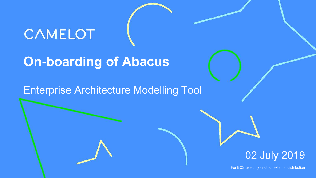# CAMELOT

## **On-boarding of Abacus**

#### Enterprise Architecture Modelling Tool



For BCS use only - not for external distribution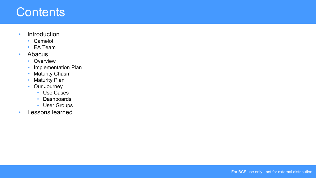#### **Contents**

- Introduction
	- Camelot
	- EA Team
- Abacus
	- Overview
	- Implementation Plan
	- Maturity Chasm
	- Maturity Plan
	- Our Journey
		- Use Cases
		- Dashboards
		- User Groups
- Lessons learned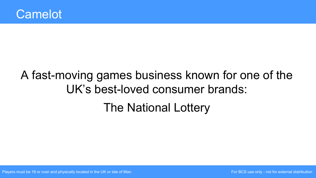# A fast-moving games business known for one of the UK's best-loved consumer brands: The National Lottery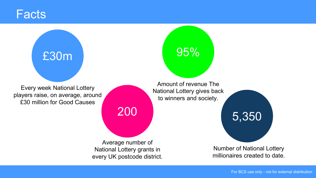#### **Facts**

# £30m 95%

Every week National Lottery players raise, on average, around £30 million for Good Causes

Average number of National Lottery grants in every UK postcode district.

Amount of revenue The National Lottery gives back to winners and society.

5,350 200

Number of National Lottery millionaires created to date.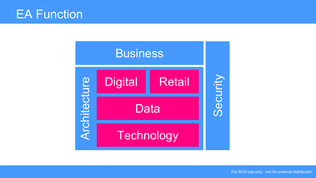### EA Function



For BCS use only - not for external distribution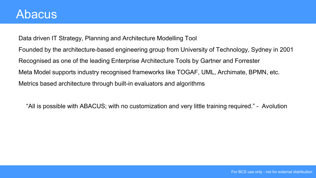Data driven IT Strategy, Planning and Architecture Modelling Tool Founded by the architecture-based engineering group from University of Technology, Sydney in 2001 Recognised as one of the leading Enterprise Architecture Tools by Gartner and Forrester Meta Model supports industry recognised frameworks like TOGAF, UML, Archimate, BPMN, etc. Metrics based architecture through built-in evaluators and algorithms

"All is possible with ABACUS; with no customization and very little training required." - Avolution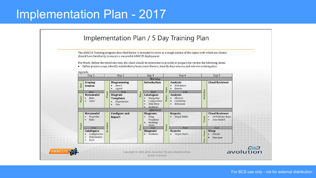## Implementation Plan - 2017

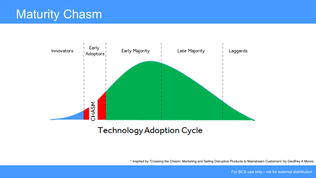

#### **Technology Adoption Cycle**

\* Inspired by "Crossing the Chasm: Marketing and Selling Disruptive Products to Mainstream Customers" by Geoffrey A Moore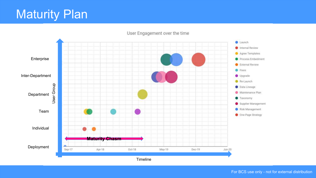## Maturity Plan



#### User Engagement over the time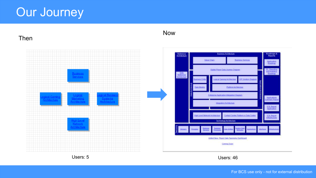## Our Journey

Then



#### Now

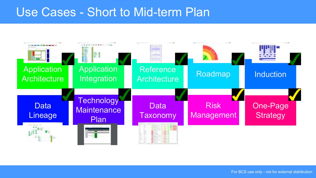## Use Cases - Short to Mid-term Plan

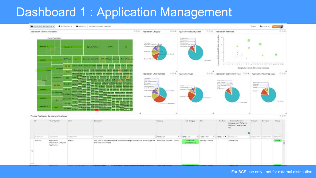## Dashboard 1 : Application Management

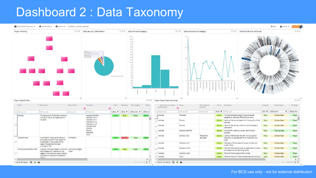#### Dashboard 2 : Data Taxonomy

#### A Player Data Taxonomy > + Add Portlet > + + Admin > No fitters currently selected i Help & soshar w  $+25$  $000$ 000 Data Attribute Sub-Category O @ @ Data Entities and Attributes  $000$ Player Hierarchy 000 Data Security Classification Data Attribute Category 200 1992 180  $770$ 150 PS Sensitive-Commission Nov. Savattium Nin Mil al Commandal Sensitive Player Data Entities  $000$ Player Data Model Attributes  $000$ Name · Description Parent Entity Anributes Status Category Sub-Category Owne - Data Cruity (Is realized . Name Data Attribute Status Description Category Sub-Category Pil Catego by (Realizes)) Example  $\equiv$ 田 <Show All> <Show All> Show Allo <Shot **v** <Sht **v** <Show All> **v** <Show All> <Show **v** <Show v <Show Alb v <Show A <Show All> <Show All> Show Alla: Show All> Ghow Alb Address Postcode Active The postcode associated to the address as Party Contact Data Player is Address The particulars of the place where an Address Identifier Came Player assigned by the post office of the country. individual lives or an organisation is Address Line 0 situated. Address Line 1 Address County Active Name of the county/state wihin the country of the Party Contact Data Player Address Line 2 address. Address Line 3 Country Active Name of the country where to which address is Party Contact Data Player. Address Address Type associated. Country. County Address Address Identifier An identifier used to uniquely identify every Active Party **Tracking Data** Player Postcode addrass Town Address Address Type Residential Active Used to differentiate between various type of Party Contact Data Player. Address Check A verification check performed by a Verification Control Player Came Business accounts. An address can be of more than one **Active:** third party to confirm the validity of type. the address in the context of the Address Address Line 1 Active Mandatory field to capture house number and Contact Data Player **Party** reason the address has been street name. provided to TNL. Address Address Line 0 Active Optional field used to capture organisation's name Party Contact Data Player Annonymous Mobile Visitor | A person who downloads or visits the | Anonymous Digital Party Player Cam Active 1 and department or Building Name. downloaded and installed but not Visitor 2 Address Address Line 2 Active Optional field to capture flat number. **Party** Contact Data Player logged in the National Lottery Mobile Application to scan and validate the Town Active Name of the town where the address can be found. Party Address Contact Data Player \* tirkate.  $\mathbf{r}$ 1-53 of 53 results Q + &  $4.11 + 1.100$   $V$ 1-100 of 122 results Q + &  $x + 1$  2 + > 100  $\tau$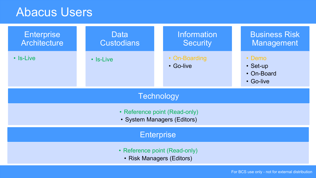## Abacus Users

| <b>Enterprise</b><br>Architecture                            | Data<br><b>Custodians</b> | <b>Information</b><br><b>Security</b> | <b>Business Risk</b><br>Management                  |
|--------------------------------------------------------------|---------------------------|---------------------------------------|-----------------------------------------------------|
| $\cdot$ S-Live                                               | $\cdot$ S-Live            | • On-Boarding<br>• Go-live            | • Demo<br>$\cdot$ Set-up<br>• On-Board<br>• Go-live |
| Technology                                                   |                           |                                       |                                                     |
| • Reference point (Read-only)<br>• System Managers (Editors) |                           |                                       |                                                     |
| <b>Enterprise</b>                                            |                           |                                       |                                                     |
| • Reference point (Read-only)<br>• Risk Managers (Editors)   |                           |                                       |                                                     |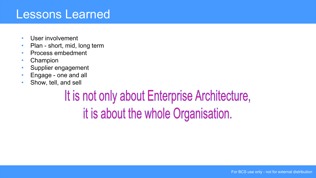#### Lessons Learned

- User involvement
- Plan short, mid, long term
- Process embedment
- Champion
- Supplier engagement
- Engage one and all
- Show, tell, and sell

# It is not only about Enterprise Architecture, it is about the whole Organisation.